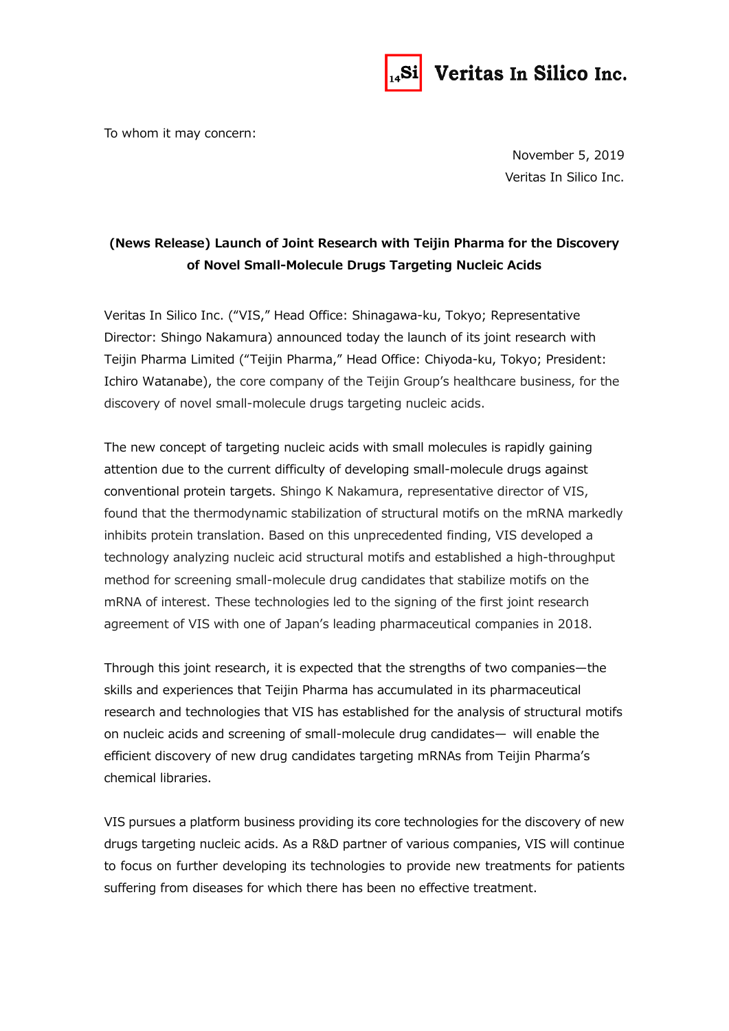

## Veritas In Silico Inc.

To whom it may concern:

November 5, 2019 Veritas In Silico Inc.

## **(News Release) Launch of Joint Research with Teijin Pharma for the Discovery of Novel Small-Molecule Drugs Targeting Nucleic Acids**

Veritas In Silico Inc. ("VIS," Head Office: Shinagawa-ku, Tokyo; Representative Director: Shingo Nakamura) announced today the launch of its joint research with Teijin Pharma Limited ("Teijin Pharma," Head Office: Chiyoda-ku, Tokyo; President: Ichiro Watanabe), the core company of the Teijin Group's healthcare business, for the discovery of novel small-molecule drugs targeting nucleic acids.

The new concept of targeting nucleic acids with small molecules is rapidly gaining attention due to the current difficulty of developing small-molecule drugs against conventional protein targets. Shingo K Nakamura, representative director of VIS, found that the thermodynamic stabilization of structural motifs on the mRNA markedly inhibits protein translation. Based on this unprecedented finding, VIS developed a technology analyzing nucleic acid structural motifs and established a high-throughput method for screening small-molecule drug candidates that stabilize motifs on the mRNA of interest. These technologies led to the signing of the first joint research agreement of VIS with one of Japan's leading pharmaceutical companies in 2018.

Through this joint research, it is expected that the strengths of two companies—the skills and experiences that Teijin Pharma has accumulated in its pharmaceutical research and technologies that VIS has established for the analysis of structural motifs on nucleic acids and screening of small-molecule drug candidates— will enable the efficient discovery of new drug candidates targeting mRNAs from Teijin Pharma's chemical libraries.

VIS pursues a platform business providing its core technologies for the discovery of new drugs targeting nucleic acids. As a R&D partner of various companies, VIS will continue to focus on further developing its technologies to provide new treatments for patients suffering from diseases for which there has been no effective treatment.